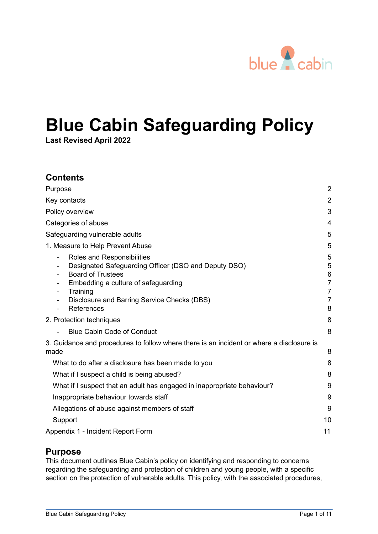

# **Blue Cabin Safeguarding Policy**

**Last Revised April 2022**

# **Contents**

| Key contacts                                                                                                                                                                                                                                                     | $\overline{2}$                                                         |
|------------------------------------------------------------------------------------------------------------------------------------------------------------------------------------------------------------------------------------------------------------------|------------------------------------------------------------------------|
| Policy overview                                                                                                                                                                                                                                                  | 3                                                                      |
| Categories of abuse                                                                                                                                                                                                                                              | 4                                                                      |
| Safeguarding vulnerable adults                                                                                                                                                                                                                                   | 5                                                                      |
| 1. Measure to Help Prevent Abuse                                                                                                                                                                                                                                 | 5                                                                      |
| Roles and Responsibilities<br>-<br>Designated Safeguarding Officer (DSO and Deputy DSO)<br><b>Board of Trustees</b><br>۰.<br>Embedding a culture of safeguarding<br>-<br>Training<br>$\blacksquare$<br>Disclosure and Barring Service Checks (DBS)<br>References | 5<br>5<br>6<br>$\overline{7}$<br>$\overline{7}$<br>$\overline{7}$<br>8 |
| 2. Protection techniques                                                                                                                                                                                                                                         | 8                                                                      |
| <b>Blue Cabin Code of Conduct</b>                                                                                                                                                                                                                                | 8                                                                      |
| 3. Guidance and procedures to follow where there is an incident or where a disclosure is<br>made                                                                                                                                                                 | 8                                                                      |
| What to do after a disclosure has been made to you                                                                                                                                                                                                               | 8                                                                      |
| What if I suspect a child is being abused?                                                                                                                                                                                                                       | 8                                                                      |
| What if I suspect that an adult has engaged in inappropriate behaviour?                                                                                                                                                                                          | 9                                                                      |
| Inappropriate behaviour towards staff                                                                                                                                                                                                                            | 9                                                                      |
| Allegations of abuse against members of staff                                                                                                                                                                                                                    | 9                                                                      |
| Support                                                                                                                                                                                                                                                          | 10                                                                     |
| 11<br>Appendix 1 - Incident Report Form                                                                                                                                                                                                                          |                                                                        |

# <span id="page-0-0"></span>**Purpose**

This document outlines Blue Cabin's policy on identifying and responding to concerns regarding the safeguarding and protection of children and young people, with a specific section on the protection of vulnerable adults. This policy, with the associated procedures,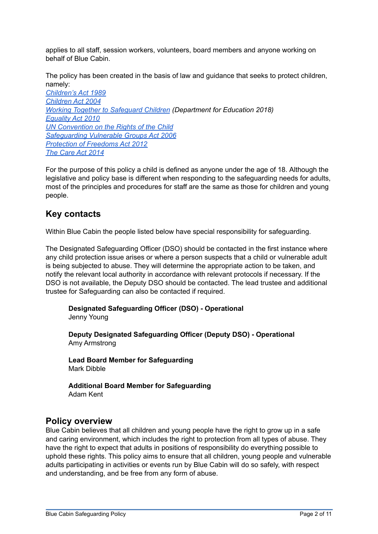applies to all staff, session workers, volunteers, board members and anyone working on behalf of Blue Cabin.

The policy has been created in the basis of law and guidance that seeks to protect children, namely:

*[Children's](https://www.legislation.gov.uk/ukpga/1989/41/contents) Act 1989 [Children](https://www.legislation.gov.uk/ukpga/2004/31/contents) Act 2004 Working Together to [Safeguard](https://www.gov.uk/government/publications/working-together-to-safeguard-children--2) Children (Department for Education 2018) [Equality](https://www.legislation.gov.uk/ukpga/2010/15/contents) Act 2010 UN [Convention](https://www.gov.uk/government/publications/united-nations-convention-on-the-rights-of-the-child-uncrc-how-legislation-underpins-implementation-in-england) on the Rights of the Child [Safeguarding](https://www.legislation.gov.uk/ukpga/2006/47/contents) Vulnerable Groups Act 2006 [Protection](https://bills.parliament.uk/bills/830) of Freedoms Act 2012 The Care Act [2014](https://www.legislation.gov.uk/ukpga/2014/23/contents/enacted)*

For the purpose of this policy a child is defined as anyone under the age of 18. Although the legislative and policy base is different when responding to the safeguarding needs for adults, most of the principles and procedures for staff are the same as those for children and young people.

# <span id="page-1-0"></span>**Key contacts**

Within Blue Cabin the people listed below have special responsibility for safeguarding.

The Designated Safeguarding Officer (DSO) should be contacted in the first instance where any child protection issue arises or where a person suspects that a child or vulnerable adult is being subjected to abuse. They will determine the appropriate action to be taken, and notify the relevant local authority in accordance with relevant protocols if necessary. If the DSO is not available, the Deputy DSO should be contacted. The lead trustee and additional trustee for Safeguarding can also be contacted if required.

**Designated Safeguarding Officer (DSO) - Operational** Jenny Young

**Deputy Designated Safeguarding Officer (Deputy DSO) - Operational** Amy Armstrong

**Lead Board Member for Safeguarding** Mark Dibble

**Additional Board Member for Safeguarding** Adam Kent

# **Policy overview**

Blue Cabin believes that all children and young people have the right to grow up in a safe and caring environment, which includes the right to protection from all types of abuse. They have the right to expect that adults in positions of responsibility do everything possible to uphold these rights. This policy aims to ensure that all children, young people and vulnerable adults participating in activities or events run by Blue Cabin will do so safely, with respect and understanding, and be free from any form of abuse.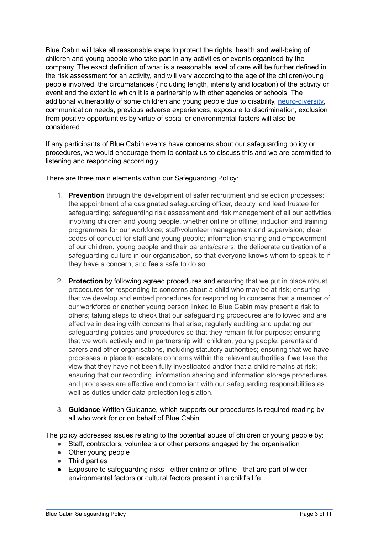Blue Cabin will take all reasonable steps to protect the rights, health and well-being of children and young people who take part in any activities or events organised by the company. The exact definition of what is a reasonable level of care will be further defined in the risk assessment for an activity, and will vary according to the age of the children/young people involved, the circumstances (including length, intensity and location) of the activity or event and the extent to which it is a partnership with other agencies or schools. The additional vulnerability of some children and young people due to disability, [neuro-diversity,](https://www.webmd.com/add-adhd/features/what-is-neurodiversity) communication needs, previous adverse experiences, exposure to discrimination, exclusion from positive opportunities by virtue of social or environmental factors will also be considered.

If any participants of Blue Cabin events have concerns about our safeguarding policy or procedures, we would encourage them to contact us to discuss this and we are committed to listening and responding accordingly.

There are three main elements within our Safeguarding Policy:

- 1. **Prevention** through the development of safer recruitment and selection processes; the appointment of a designated safeguarding officer, deputy, and lead trustee for safeguarding; safeguarding risk assessment and risk management of all our activities involving children and young people, whether online or offline; induction and training programmes for our workforce; staff/volunteer management and supervision; clear codes of conduct for staff and young people; information sharing and empowerment of our children, young people and their parents/carers; the deliberate cultivation of a safeguarding culture in our organisation, so that everyone knows whom to speak to if they have a concern, and feels safe to do so.
- 2. **Protection** by following agreed procedures and ensuring that we put in place robust procedures for responding to concerns about a child who may be at risk; ensuring that we develop and embed procedures for responding to concerns that a member of our workforce or another young person linked to Blue Cabin may present a risk to others; taking steps to check that our safeguarding procedures are followed and are effective in dealing with concerns that arise; regularly auditing and updating our safeguarding policies and procedures so that they remain fit for purpose; ensuring that we work actively and in partnership with children, young people, parents and carers and other organisations, including statutory authorities; ensuring that we have processes in place to escalate concerns within the relevant authorities if we take the view that they have not been fully investigated and/or that a child remains at risk; ensuring that our recording, information sharing and information storage procedures and processes are effective and compliant with our safeguarding responsibilities as well as duties under data protection legislation.
- 3. **Guidance** Written Guidance, which supports our procedures is required reading by all who work for or on behalf of Blue Cabin.

The policy addresses issues relating to the potential abuse of children or young people by:

- Staff, contractors, volunteers or other persons engaged by the organisation
- Other young people
- Third parties
- Exposure to safeguarding risks either online or offline that are part of wider environmental factors or cultural factors present in a child's life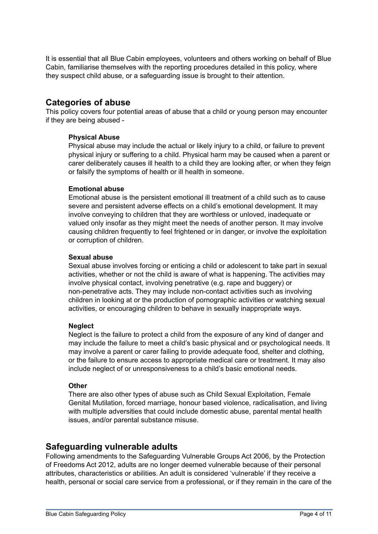It is essential that all Blue Cabin employees, volunteers and others working on behalf of Blue Cabin, familiarise themselves with the reporting procedures detailed in this policy, where they suspect child abuse, or a safeguarding issue is brought to their attention.

# <span id="page-3-0"></span>**Categories of abuse**

This policy covers four potential areas of abuse that a child or young person may encounter if they are being abused -

## **Physical Abuse**

Physical abuse may include the actual or likely injury to a child, or failure to prevent physical injury or suffering to a child. Physical harm may be caused when a parent or carer deliberately causes ill health to a child they are looking after, or when they feign or falsify the symptoms of health or ill health in someone.

## **Emotional abuse**

Emotional abuse is the persistent emotional ill treatment of a child such as to cause severe and persistent adverse effects on a child's emotional development. It may involve conveying to children that they are worthless or unloved, inadequate or valued only insofar as they might meet the needs of another person. It may involve causing children frequently to feel frightened or in danger, or involve the exploitation or corruption of children.

#### **Sexual abuse**

Sexual abuse involves forcing or enticing a child or adolescent to take part in sexual activities, whether or not the child is aware of what is happening. The activities may involve physical contact, involving penetrative (e.g. rape and buggery) or non-penetrative acts. They may include non-contact activities such as involving children in looking at or the production of pornographic activities or watching sexual activities, or encouraging children to behave in sexually inappropriate ways.

#### **Neglect**

Neglect is the failure to protect a child from the exposure of any kind of danger and may include the failure to meet a child's basic physical and or psychological needs. It may involve a parent or carer failing to provide adequate food, shelter and clothing, or the failure to ensure access to appropriate medical care or treatment. It may also include neglect of or unresponsiveness to a child's basic emotional needs.

#### **Other**

There are also other types of abuse such as Child Sexual Exploitation, Female Genital Mutilation, forced marriage, honour based violence, radicalisation, and living with multiple adversities that could include domestic abuse, parental mental health issues, and/or parental substance misuse.

# <span id="page-3-1"></span>**Safeguarding vulnerable adults**

Following amendments to the Safeguarding Vulnerable Groups Act 2006, by the Protection of Freedoms Act 2012, adults are no longer deemed vulnerable because of their personal attributes, characteristics or abilities. An adult is considered 'vulnerable' if they receive a health, personal or social care service from a professional, or if they remain in the care of the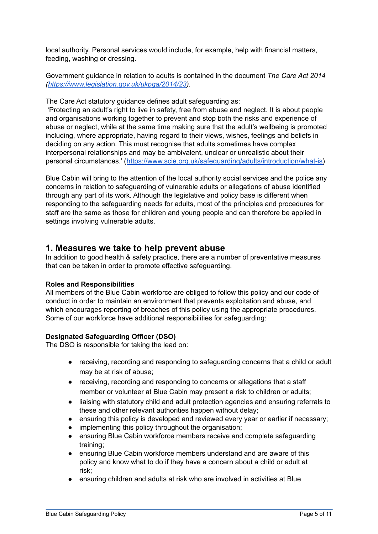local authority. Personal services would include, for example, help with financial matters, feeding, washing or dressing.

Government guidance in relation to adults is contained in the document *The Care Act 2014 (<https://www.legislation.gov.uk/ukpga/2014/23>).*

The Care Act statutory guidance defines adult safeguarding as:

'Protecting an adult's right to live in safety, free from abuse and neglect. It is about people and organisations working together to prevent and stop both the risks and experience of abuse or neglect, while at the same time making sure that the adult's wellbeing is promoted including, where appropriate, having regard to their views, wishes, feelings and beliefs in deciding on any action. This must recognise that adults sometimes have complex interpersonal relationships and may be ambivalent, unclear or unrealistic about their personal circumstances.' ([https://www.scie.org.uk/safeguarding/adults/introduction/what-is\)](https://www.scie.org.uk/safeguarding/adults/introduction/what-is)

Blue Cabin will bring to the attention of the local authority social services and the police any concerns in relation to safeguarding of vulnerable adults or allegations of abuse identified through any part of its work. Although the legislative and policy base is different when responding to the safeguarding needs for adults, most of the principles and procedures for staff are the same as those for children and young people and can therefore be applied in settings involving vulnerable adults.

# <span id="page-4-1"></span>**1. Measures we take to help prevent abuse**

In addition to good health & safety practice, there are a number of preventative measures that can be taken in order to promote effective safeguarding.

## **Roles and Responsibilities**

All members of the Blue Cabin workforce are obliged to follow this policy and our code of conduct in order to maintain an environment that prevents exploitation and abuse, and which encourages reporting of breaches of this policy using the appropriate procedures. Some of our workforce have additional responsibilities for safeguarding:

## **Designated Safeguarding Officer (DSO)**

The DSO is responsible for taking the lead on:

- <span id="page-4-0"></span>● receiving, recording and responding to safeguarding concerns that a child or adult may be at risk of abuse;
- receiving, recording and responding to concerns or allegations that a staff member or volunteer at Blue Cabin may present a risk to children or adults;
- liaising with statutory child and adult protection agencies and ensuring referrals to these and other relevant authorities happen without delay;
- ensuring this policy is developed and reviewed every year or earlier if necessary;
- implementing this policy throughout the organisation;
- ensuring Blue Cabin workforce members receive and complete safeguarding training;
- ensuring Blue Cabin workforce members understand and are aware of this policy and know what to do if they have a concern about a child or adult at risk;
- ensuring children and adults at risk who are involved in activities at Blue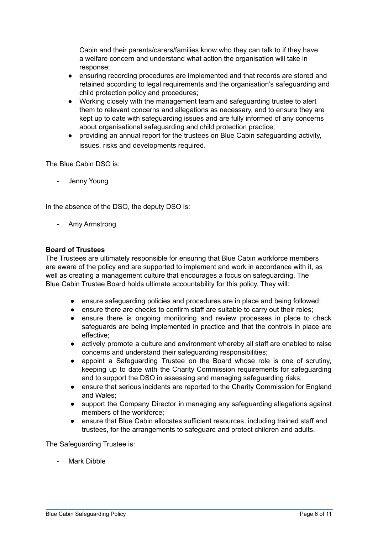Cabin and their parents/carers/families know who they can talk to if they have a welfare concern and understand what action the organisation will take in response;

- ensuring recording procedures are implemented and that records are stored and retained according to legal requirements and the organisation's safeguarding and child protection policy and procedures;
- Working closely with the management team and safeguarding trustee to alert them to relevant concerns and allegations as necessary, and to ensure they are kept up to date with safeguarding issues and are fully informed of any concerns about organisational safeguarding and child protection practice;
- providing an annual report for the trustees on Blue Cabin safeguarding activity, issues, risks and developments required.

The Blue Cabin DSO is:

Jenny Young

In the absence of the DSO, the deputy DSO is:

- Amy Armstrong

#### **Board of Trustees**

The Trustees are ultimately responsible for ensuring that Blue Cabin workforce members are aware of the policy and are supported to implement and work in accordance with it, as well as creating a management culture that encourages a focus on safeguarding. The Blue Cabin Trustee Board holds ultimate accountability for this policy. They will:

- ensure safeguarding policies and procedures are in place and being followed;
- ensure there are checks to confirm staff are suitable to carry out their roles;
- ensure there is ongoing monitoring and review processes in place to check safeguards are being implemented in practice and that the controls in place are effective;
- actively promote a culture and environment whereby all staff are enabled to raise concerns and understand their safeguarding responsibilities;
- appoint a Safeguarding Trustee on the Board whose role is one of scrutiny. keeping up to date with the Charity Commission requirements for safeguarding and to support the DSO in assessing and managing safeguarding risks;
- ensure that serious incidents are reported to the Charity Commission for England and Wales;
- support the Company Director in managing any safeguarding allegations against members of the workforce;
- ensure that Blue Cabin allocates sufficient resources, including trained staff and trustees, for the arrangements to safeguard and protect children and adults.

The Safeguarding Trustee is:

- Mark Dibble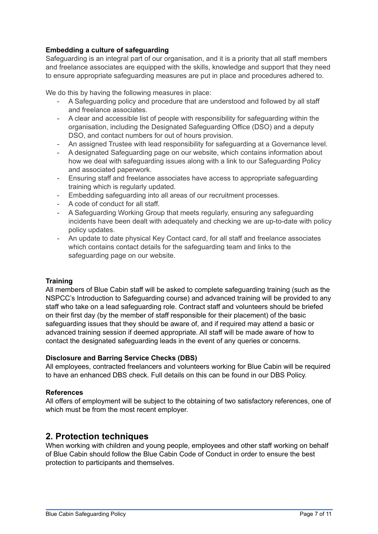## **Embedding a culture of safeguarding**

Safeguarding is an integral part of our organisation, and it is a priority that all staff members and freelance associates are equipped with the skills, knowledge and support that they need to ensure appropriate safeguarding measures are put in place and procedures adhered to.

We do this by having the following measures in place:

- A Safeguarding policy and procedure that are understood and followed by all staff and freelance associates.
- A clear and accessible list of people with responsibility for safeguarding within the organisation, including the Designated Safeguarding Office (DSO) and a deputy DSO, and contact numbers for out of hours provision.
- An assigned Trustee with lead responsibility for safeguarding at a Governance level.
- A designated Safeguarding page on our website, which contains information about how we deal with safeguarding issues along with a link to our Safeguarding Policy and associated paperwork.
- Ensuring staff and freelance associates have access to appropriate safeguarding training which is regularly updated.
- Embedding safeguarding into all areas of our recruitment processes.
- A code of conduct for all staff.
- A Safeguarding Working Group that meets regularly, ensuring any safeguarding incidents have been dealt with adequately and checking we are up-to-date with policy policy updates.
- An update to date physical Key Contact card, for all staff and freelance associates which contains contact details for the safeguarding team and links to the safeguarding page on our website.

#### <span id="page-6-0"></span>**Training**

All members of Blue Cabin staff will be asked to complete safeguarding training (such as the NSPCC's Introduction to Safeguarding course) and advanced training will be provided to any staff who take on a lead safeguarding role. Contract staff and volunteers should be briefed on their first day (by the member of staff responsible for their placement) of the basic safeguarding issues that they should be aware of, and if required may attend a basic or advanced training session if deemed appropriate. All staff will be made aware of how to contact the designated safeguarding leads in the event of any queries or concerns.

#### **Disclosure and Barring Service Checks (DBS)**

All employees, contracted freelancers and volunteers working for Blue Cabin will be required to have an enhanced DBS check. Full details on this can be found in our DBS Policy.

#### <span id="page-6-1"></span>**References**

All offers of employment will be subject to the obtaining of two satisfactory references, one of which must be from the most recent employer.

# <span id="page-6-2"></span>**2. Protection techniques**

When working with children and young people, employees and other staff working on behalf of Blue Cabin should follow the Blue Cabin Code of Conduct in order to ensure the best protection to participants and themselves.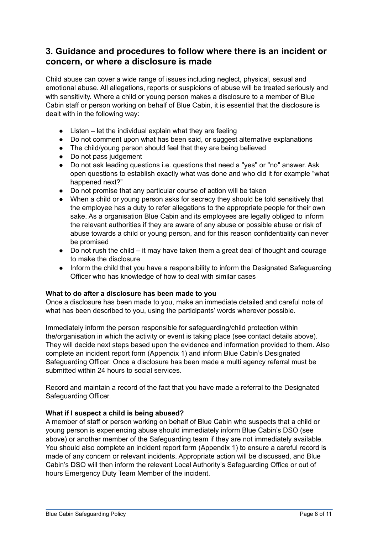# <span id="page-7-0"></span>**3. Guidance and procedures to follow where there is an incident or concern, or where a disclosure is made**

Child abuse can cover a wide range of issues including neglect, physical, sexual and emotional abuse. All allegations, reports or suspicions of abuse will be treated seriously and with sensitivity. Where a child or young person makes a disclosure to a member of Blue Cabin staff or person working on behalf of Blue Cabin, it is essential that the disclosure is dealt with in the following way:

- $\bullet$  Listen let the individual explain what they are feeling
- Do not comment upon what has been said, or suggest alternative explanations
- The child/young person should feel that they are being believed
- Do not pass judgement
- Do not ask leading questions i.e. questions that need a "yes" or "no" answer. Ask open questions to establish exactly what was done and who did it for example "what happened next?"
- Do not promise that any particular course of action will be taken
- When a child or young person asks for secrecy they should be told sensitively that the employee has a duty to refer allegations to the appropriate people for their own sake. As a organisation Blue Cabin and its employees are legally obliged to inform the relevant authorities if they are aware of any abuse or possible abuse or risk of abuse towards a child or young person, and for this reason confidentiality can never be promised
- $\bullet$  Do not rush the child it may have taken them a great deal of thought and courage to make the disclosure
- Inform the child that you have a responsibility to inform the Designated Safeguarding Officer who has knowledge of how to deal with similar cases

## <span id="page-7-1"></span>**What to do after a disclosure has been made to you**

Once a disclosure has been made to you, make an immediate detailed and careful note of what has been described to you, using the participants' words wherever possible.

Immediately inform the person responsible for safeguarding/child protection within the/organisation in which the activity or event is taking place (see contact details above). They will decide next steps based upon the evidence and information provided to them. Also complete an incident report form (Appendix 1) and inform Blue Cabin's Designated Safeguarding Officer. Once a disclosure has been made a multi agency referral must be submitted within 24 hours to social services.

Record and maintain a record of the fact that you have made a referral to the Designated Safeguarding Officer.

## <span id="page-7-2"></span>**What if I suspect a child is being abused?**

A member of staff or person working on behalf of Blue Cabin who suspects that a child or young person is experiencing abuse should immediately inform Blue Cabin's DSO (see above) or another member of the Safeguarding team if they are not immediately available. You should also complete an incident report form (Appendix 1) to ensure a careful record is made of any concern or relevant incidents. Appropriate action will be discussed, and Blue Cabin's DSO will then inform the relevant Local Authority's Safeguarding Office or out of hours Emergency Duty Team Member of the incident.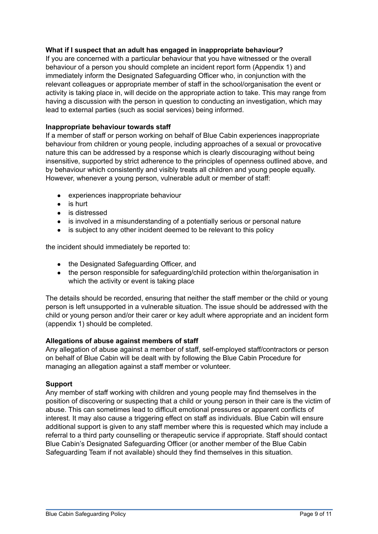## <span id="page-8-0"></span>**What if I suspect that an adult has engaged in inappropriate behaviour?**

If you are concerned with a particular behaviour that you have witnessed or the overall behaviour of a person you should complete an incident report form (Appendix 1) and immediately inform the Designated Safeguarding Officer who, in conjunction with the relevant colleagues or appropriate member of staff in the school/organisation the event or activity is taking place in, will decide on the appropriate action to take. This may range from having a discussion with the person in question to conducting an investigation, which may lead to external parties (such as social services) being informed.

### <span id="page-8-1"></span>**Inappropriate behaviour towards staff**

If a member of staff or person working on behalf of Blue Cabin experiences inappropriate behaviour from children or young people, including approaches of a sexual or provocative nature this can be addressed by a response which is clearly discouraging without being insensitive, supported by strict adherence to the principles of openness outlined above, and by behaviour which consistently and visibly treats all children and young people equally. However, whenever a young person, vulnerable adult or member of staff:

- experiences inappropriate behaviour
- is hurt
- is distressed
- is involved in a misunderstanding of a potentially serious or personal nature
- is subject to any other incident deemed to be relevant to this policy

the incident should immediately be reported to:

- the Designated Safeguarding Officer, and
- the person responsible for safeguarding/child protection within the/organisation in which the activity or event is taking place

The details should be recorded, ensuring that neither the staff member or the child or young person is left unsupported in a vulnerable situation. The issue should be addressed with the child or young person and/or their carer or key adult where appropriate and an incident form (appendix 1) should be completed.

#### <span id="page-8-2"></span>**Allegations of abuse against members of staff**

Any allegation of abuse against a member of staff, self-employed staff/contractors or person on behalf of Blue Cabin will be dealt with by following the Blue Cabin Procedure for managing an allegation against a staff member or volunteer.

#### <span id="page-8-3"></span>**Support**

Any member of staff working with children and young people may find themselves in the position of discovering or suspecting that a child or young person in their care is the victim of abuse. This can sometimes lead to difficult emotional pressures or apparent conflicts of interest. It may also cause a triggering effect on staff as individuals. Blue Cabin will ensure additional support is given to any staff member where this is requested which may include a referral to a third party counselling or therapeutic service if appropriate. Staff should contact Blue Cabin's Designated Safeguarding Officer (or another member of the Blue Cabin Safeguarding Team if not available) should they find themselves in this situation.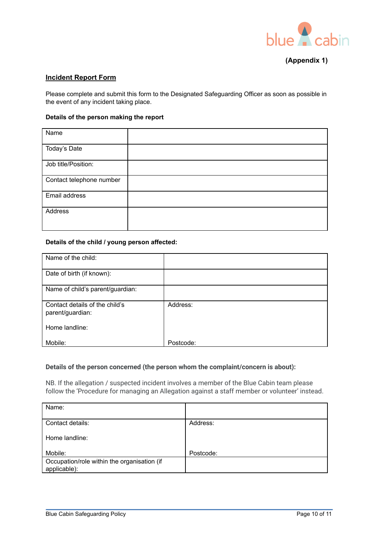

#### **Incident Report Form**

Please complete and submit this form to the Designated Safeguarding Officer as soon as possible in the event of any incident taking place.

#### **Details of the person making the report**

| Name                     |  |
|--------------------------|--|
| Today's Date             |  |
| Job title/Position:      |  |
| Contact telephone number |  |
| Email address            |  |
| Address                  |  |

#### **Details of the child / young person affected:**

| Name of the child:                                 |           |
|----------------------------------------------------|-----------|
| Date of birth (if known):                          |           |
| Name of child's parent/guardian:                   |           |
| Contact details of the child's<br>parent/guardian: | Address:  |
| Home landline:                                     |           |
| Mobile:                                            | Postcode: |

#### **Details of the person concerned (the person whom the complaint/concern is about):**

NB. If the allegation / suspected incident involves a member of the Blue Cabin team please follow the 'Procedure for managing an Allegation against a staff member or volunteer' instead.

| Name:                                                       |           |
|-------------------------------------------------------------|-----------|
| Contact details:                                            | Address:  |
| Home landline:                                              |           |
| Mobile:                                                     | Postcode: |
| Occupation/role within the organisation (if<br>applicable): |           |